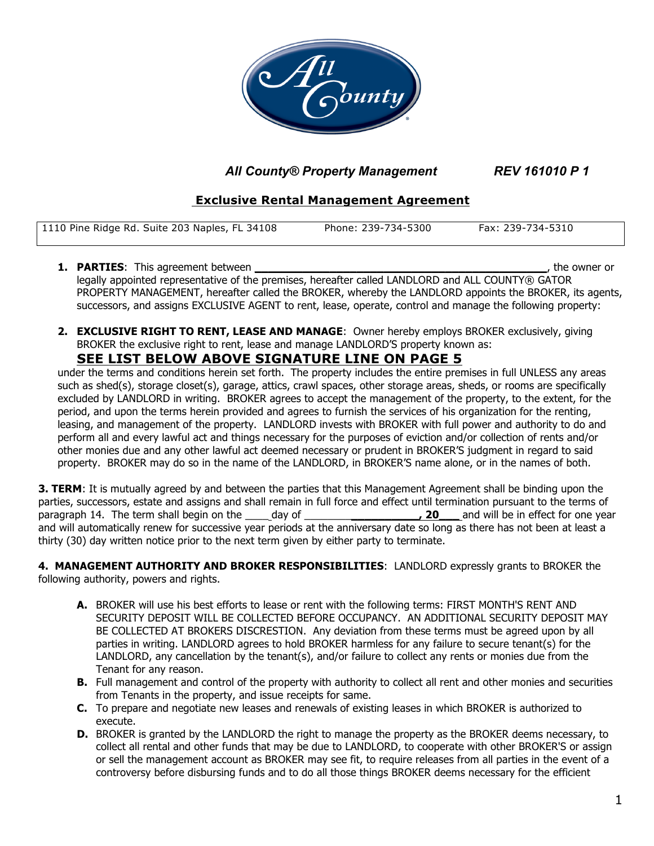

 *All County® Property Management REV 161010 P 1*

# **Exclusive Rental Management Agreement**

| 1110 Pine Ridge Rd. Suite 203 Naples, FL 34108 | Phone: 239-734-5300 | Fax: 239-734-5310 |
|------------------------------------------------|---------------------|-------------------|
|                                                |                     |                   |

- **1. PARTIES**: This agreement between **\_\_\_\_\_\_\_\_\_\_\_\_\_\_\_\_\_\_\_\_\_\_\_\_\_\_\_\_\_\_\_\_\_\_\_\_\_\_\_\_\_\_\_**, the owner or legally appointed representative of the premises, hereafter called LANDLORD and ALL COUNTY® GATOR PROPERTY MANAGEMENT, hereafter called the BROKER, whereby the LANDLORD appoints the BROKER, its agents, successors, and assigns EXCLUSIVE AGENT to rent, lease, operate, control and manage the following property:
- **2. EXCLUSIVE RIGHT TO RENT, LEASE AND MANAGE**: Owner hereby employs BROKER exclusively, giving BROKER the exclusive right to rent, lease and manage LANDLORD'S property known as:

# **SEE LIST BELOW ABOVE SIGNATURE LINE ON PAGE 5**

under the terms and conditions herein set forth.The property includes the entire premises in full UNLESS any areas such as shed(s), storage closet(s), garage, attics, crawl spaces, other storage areas, sheds, or rooms are specifically excluded by LANDLORD in writing. BROKER agrees to accept the management of the property, to the extent, for the period, and upon the terms herein provided and agrees to furnish the services of his organization for the renting, leasing, and management of the property. LANDLORD invests with BROKER with full power and authority to do and perform all and every lawful act and things necessary for the purposes of eviction and/or collection of rents and/or other monies due and any other lawful act deemed necessary or prudent in BROKER'S judgment in regard to said property. BROKER may do so in the name of the LANDLORD, in BROKER'S name alone, or in the names of both.

**3. TERM**: It is mutually agreed by and between the parties that this Management Agreement shall be binding upon the parties, successors, estate and assigns and shall remain in full force and effect until termination pursuant to the terms of paragraph 14. The term shall begin on the \_\_\_\_ day of \_\_\_\_\_\_\_\_**\_\_\_\_\_\_\_\_\_\_, 20\_\_\_** and will be in effect for one year and will automatically renew for successive year periods at the anniversary date so long as there has not been at least a thirty (30) day written notice prior to the next term given by either party to terminate.

**4. MANAGEMENT AUTHORITY AND BROKER RESPONSIBILITIES**: LANDLORD expressly grants to BROKER the following authority, powers and rights.

- **A.** BROKER will use his best efforts to lease or rent with the following terms: FIRST MONTH'S RENT AND SECURITY DEPOSIT WILL BE COLLECTED BEFORE OCCUPANCY. AN ADDITIONAL SECURITY DEPOSIT MAY BE COLLECTED AT BROKERS DISCRESTION. Any deviation from these terms must be agreed upon by all parties in writing. LANDLORD agrees to hold BROKER harmless for any failure to secure tenant(s) for the LANDLORD, any cancellation by the tenant(s), and/or failure to collect any rents or monies due from the Tenant for any reason.
- **B.** Full management and control of the property with authority to collect all rent and other monies and securities from Tenants in the property, and issue receipts for same.
- **C.** To prepare and negotiate new leases and renewals of existing leases in which BROKER is authorized to execute.
- **D.** BROKER is granted by the LANDLORD the right to manage the property as the BROKER deems necessary, to collect all rental and other funds that may be due to LANDLORD, to cooperate with other BROKER'S or assign or sell the management account as BROKER may see fit, to require releases from all parties in the event of a controversy before disbursing funds and to do all those things BROKER deems necessary for the efficient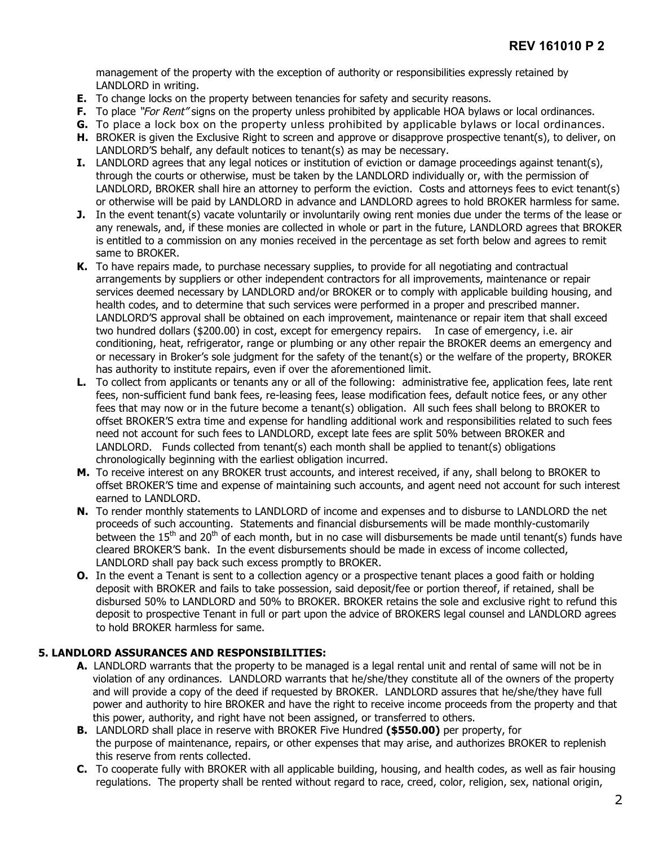management of the property with the exception of authority or responsibilities expressly retained by LANDLORD in writing.

- **E.** To change locks on the property between tenancies for safety and security reasons.
- **F.** To place "For Rent" signs on the property unless prohibited by applicable HOA bylaws or local ordinances.
- **G.** To place a lock box on the property unless prohibited by applicable bylaws or local ordinances.
- **H.** BROKER is given the Exclusive Right to screen and approve or disapprove prospective tenant(s), to deliver, on LANDLORD'S behalf, any default notices to tenant(s) as may be necessary.
- **I.** LANDLORD agrees that any legal notices or institution of eviction or damage proceedings against tenant(s), through the courts or otherwise, must be taken by the LANDLORD individually or, with the permission of LANDLORD, BROKER shall hire an attorney to perform the eviction. Costs and attorneys fees to evict tenant(s) or otherwise will be paid by LANDLORD in advance and LANDLORD agrees to hold BROKER harmless for same.
- **J.** In the event tenant(s) vacate voluntarily or involuntarily owing rent monies due under the terms of the lease or any renewals, and, if these monies are collected in whole or part in the future, LANDLORD agrees that BROKER is entitled to a commission on any monies received in the percentage as set forth below and agrees to remit same to BROKER.
- **K.** To have repairs made, to purchase necessary supplies, to provide for all negotiating and contractual arrangements by suppliers or other independent contractors for all improvements, maintenance or repair services deemed necessary by LANDLORD and/or BROKER or to comply with applicable building housing, and health codes, and to determine that such services were performed in a proper and prescribed manner. LANDLORD'S approval shall be obtained on each improvement, maintenance or repair item that shall exceed two hundred dollars (\$200.00) in cost, except for emergency repairs. In case of emergency, i.e. air conditioning, heat, refrigerator, range or plumbing or any other repair the BROKER deems an emergency and or necessary in Broker's sole judgment for the safety of the tenant(s) or the welfare of the property, BROKER has authority to institute repairs, even if over the aforementioned limit.
- **L.** To collect from applicants or tenants any or all of the following: administrative fee, application fees, late rent fees, non-sufficient fund bank fees, re-leasing fees, lease modification fees, default notice fees, or any other fees that may now or in the future become a tenant(s) obligation. All such fees shall belong to BROKER to offset BROKER'S extra time and expense for handling additional work and responsibilities related to such fees need not account for such fees to LANDLORD, except late fees are split 50% between BROKER and LANDLORD. Funds collected from tenant(s) each month shall be applied to tenant(s) obligations chronologically beginning with the earliest obligation incurred.
- **M.** To receive interest on any BROKER trust accounts, and interest received, if any, shall belong to BROKER to offset BROKER'S time and expense of maintaining such accounts, and agent need not account for such interest earned to LANDLORD.
- **N.** To render monthly statements to LANDLORD of income and expenses and to disburse to LANDLORD the net proceeds of such accounting. Statements and financial disbursements will be made monthly-customarily between the  $15<sup>th</sup>$  and  $20<sup>th</sup>$  of each month, but in no case will disbursements be made until tenant(s) funds have cleared BROKER'S bank. In the event disbursements should be made in excess of income collected, LANDLORD shall pay back such excess promptly to BROKER.
- **O.** In the event a Tenant is sent to a collection agency or a prospective tenant places a good faith or holding deposit with BROKER and fails to take possession, said deposit/fee or portion thereof, if retained, shall be disbursed 50% to LANDLORD and 50% to BROKER. BROKER retains the sole and exclusive right to refund this deposit to prospective Tenant in full or part upon the advice of BROKERS legal counsel and LANDLORD agrees to hold BROKER harmless for same.

### **5. LANDLORD ASSURANCES AND RESPONSIBILITIES:**

- **A.** LANDLORD warrants that the property to be managed is a legal rental unit and rental of same will not be in violation of any ordinances. LANDLORD warrants that he/she/they constitute all of the owners of the property and will provide a copy of the deed if requested by BROKER. LANDLORD assures that he/she/they have full power and authority to hire BROKER and have the right to receive income proceeds from the property and that this power, authority, and right have not been assigned, or transferred to others.
- **B.** LANDLORD shall place in reserve with BROKER Five Hundred **(\$550.00)** per property, for the purpose of maintenance, repairs, or other expenses that may arise, and authorizes BROKER to replenish this reserve from rents collected.
- **C.** To cooperate fully with BROKER with all applicable building, housing, and health codes, as well as fair housing regulations. The property shall be rented without regard to race, creed, color, religion, sex, national origin,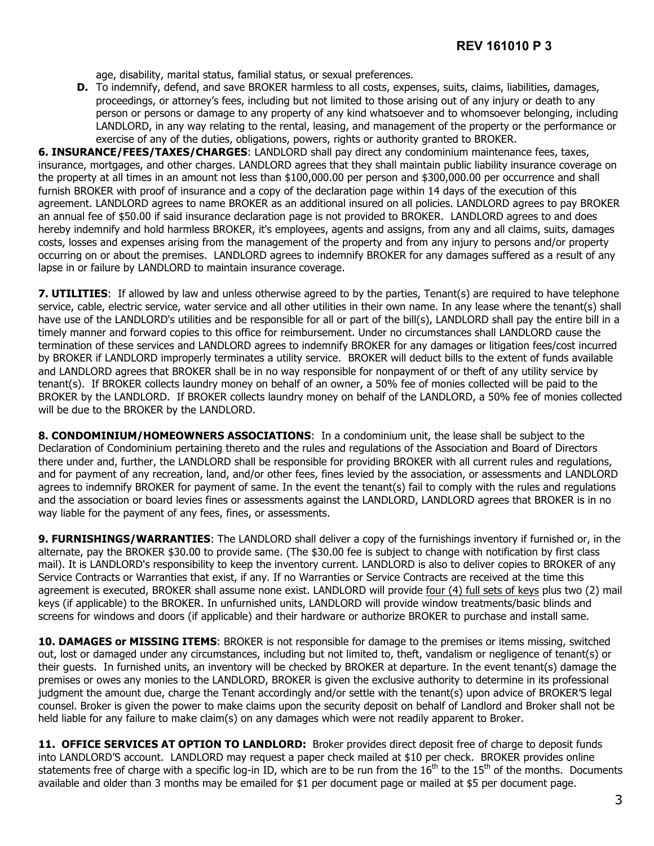age, disability, marital status, familial status, or sexual preferences.

**D.** To indemnify, defend, and save BROKER harmless to all costs, expenses, suits, claims, liabilities, damages, proceedings, or attorney's fees, including but not limited to those arising out of any injury or death to any person or persons or damage to any property of any kind whatsoever and to whomsoever belonging, including LANDLORD, in any way relating to the rental, leasing, and management of the property or the performance or exercise of any of the duties, obligations, powers, rights or authority granted to BROKER.

**6. INSURANCE/FEES/TAXES/CHARGES**: LANDLORD shall pay direct any condominium maintenance fees, taxes, insurance, mortgages, and other charges. LANDLORD agrees that they shall maintain public liability insurance coverage on the property at all times in an amount not less than \$100,000.00 per person and \$300,000.00 per occurrence and shall furnish BROKER with proof of insurance and a copy of the declaration page within 14 days of the execution of this agreement. LANDLORD agrees to name BROKER as an additional insured on all policies. LANDLORD agrees to pay BROKER an annual fee of \$50.00 if said insurance declaration page is not provided to BROKER. LANDLORD agrees to and does hereby indemnify and hold harmless BROKER, it's employees, agents and assigns, from any and all claims, suits, damages costs, losses and expenses arising from the management of the property and from any injury to persons and/or property occurring on or about the premises. LANDLORD agrees to indemnify BROKER for any damages suffered as a result of any lapse in or failure by LANDLORD to maintain insurance coverage.

**7. UTILITIES**: If allowed by law and unless otherwise agreed to by the parties, Tenant(s) are required to have telephone service, cable, electric service, water service and all other utilities in their own name. In any lease where the tenant(s) shall have use of the LANDLORD's utilities and be responsible for all or part of the bill(s), LANDLORD shall pay the entire bill in a timely manner and forward copies to this office for reimbursement. Under no circumstances shall LANDLORD cause the termination of these services and LANDLORD agrees to indemnify BROKER for any damages or litigation fees/cost incurred by BROKER if LANDLORD improperly terminates a utility service. BROKER will deduct bills to the extent of funds available and LANDLORD agrees that BROKER shall be in no way responsible for nonpayment of or theft of any utility service by tenant(s). If BROKER collects laundry money on behalf of an owner, a 50% fee of monies collected will be paid to the BROKER by the LANDLORD. If BROKER collects laundry money on behalf of the LANDLORD, a 50% fee of monies collected will be due to the BROKER by the LANDLORD.

**8. CONDOMINIUM/HOMEOWNERS ASSOCIATIONS**: In a condominium unit, the lease shall be subject to the Declaration of Condominium pertaining thereto and the rules and regulations of the Association and Board of Directors there under and, further, the LANDLORD shall be responsible for providing BROKER with all current rules and regulations, and for payment of any recreation, land, and/or other fees, fines levied by the association, or assessments and LANDLORD agrees to indemnify BROKER for payment of same. In the event the tenant(s) fail to comply with the rules and regulations and the association or board levies fines or assessments against the LANDLORD, LANDLORD agrees that BROKER is in no way liable for the payment of any fees, fines, or assessments.

**9. FURNISHINGS/WARRANTIES**: The LANDLORD shall deliver a copy of the furnishings inventory if furnished or, in the alternate, pay the BROKER \$30.00 to provide same. (The \$30.00 fee is subject to change with notification by first class mail). It is LANDLORD's responsibility to keep the inventory current. LANDLORD is also to deliver copies to BROKER of any Service Contracts or Warranties that exist, if any. If no Warranties or Service Contracts are received at the time this agreement is executed, BROKER shall assume none exist. LANDLORD will provide four (4) full sets of keys plus two (2) mail keys (if applicable) to the BROKER. In unfurnished units, LANDLORD will provide window treatments/basic blinds and screens for windows and doors (if applicable) and their hardware or authorize BROKER to purchase and install same.

**10. DAMAGES or MISSING ITEMS**: BROKER is not responsible for damage to the premises or items missing, switched out, lost or damaged under any circumstances, including but not limited to, theft, vandalism or negligence of tenant(s) or their guests. In furnished units, an inventory will be checked by BROKER at departure. In the event tenant(s) damage the premises or owes any monies to the LANDLORD, BROKER is given the exclusive authority to determine in its professional judgment the amount due, charge the Tenant accordingly and/or settle with the tenant(s) upon advice of BROKER'S legal counsel. Broker is given the power to make claims upon the security deposit on behalf of Landlord and Broker shall not be held liable for any failure to make claim(s) on any damages which were not readily apparent to Broker.

**11. OFFICE SERVICES AT OPTION TO LANDLORD:** Broker provides direct deposit free of charge to deposit funds into LANDLORD'S account. LANDLORD may request a paper check mailed at \$10 per check. BROKER provides online statements free of charge with a specific log-in ID, which are to be run from the  $16<sup>th</sup>$  to the  $15<sup>th</sup>$  of the months. Documents available and older than 3 months may be emailed for \$1 per document page or mailed at \$5 per document page.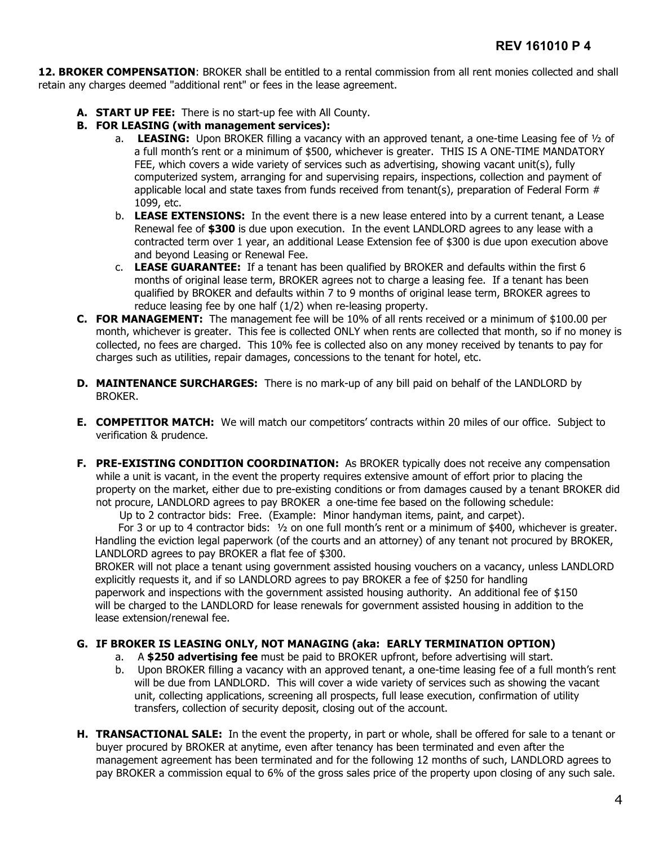**12. BROKER COMPENSATION**: BROKER shall be entitled to a rental commission from all rent monies collected and shall retain any charges deemed "additional rent" or fees in the lease agreement.

- **A. START UP FEE:** There is no start-up fee with All County.
- **B. FOR LEASING (with management services):**
	- a. **LEASING:** Upon BROKER filling a vacancy with an approved tenant, a one-time Leasing fee of ½ of a full month's rent or a minimum of \$500, whichever is greater. THIS IS A ONE-TIME MANDATORY FEE, which covers a wide variety of services such as advertising, showing vacant unit(s), fully computerized system, arranging for and supervising repairs, inspections, collection and payment of applicable local and state taxes from funds received from tenant(s), preparation of Federal Form  $#$ 1099, etc.
	- b. **LEASE EXTENSIONS:** In the event there is a new lease entered into by a current tenant, a Lease Renewal fee of **\$300** is due upon execution. In the event LANDLORD agrees to any lease with a contracted term over 1 year, an additional Lease Extension fee of \$300 is due upon execution above and beyond Leasing or Renewal Fee.
	- c. **LEASE GUARANTEE:** If a tenant has been qualified by BROKER and defaults within the first 6 months of original lease term, BROKER agrees not to charge a leasing fee. If a tenant has been qualified by BROKER and defaults within 7 to 9 months of original lease term, BROKER agrees to reduce leasing fee by one half (1/2) when re-leasing property.
- **C. FOR MANAGEMENT:** The management fee will be 10% of all rents received or a minimum of \$100.00 per month, whichever is greater. This fee is collected ONLY when rents are collected that month, so if no money is collected, no fees are charged. This 10% fee is collected also on any money received by tenants to pay for charges such as utilities, repair damages, concessions to the tenant for hotel, etc.
- **D. MAINTENANCE SURCHARGES:** There is no mark-up of any bill paid on behalf of the LANDLORD by BROKER.
- **E. COMPETITOR MATCH:** We will match our competitors' contracts within 20 miles of our office. Subject to verification & prudence.
- **F. PRE-EXISTING CONDITION COORDINATION:** As BROKER typically does not receive any compensation while a unit is vacant, in the event the property requires extensive amount of effort prior to placing the property on the market, either due to pre-existing conditions or from damages caused by a tenant BROKER did not procure, LANDLORD agrees to pay BROKER a one-time fee based on the following schedule:

Up to 2 contractor bids: Free. (Example: Minor handyman items, paint, and carpet).

 For 3 or up to 4 contractor bids: ½ on one full month's rent or a minimum of \$400, whichever is greater. Handling the eviction legal paperwork (of the courts and an attorney) of any tenant not procured by BROKER, LANDLORD agrees to pay BROKER a flat fee of \$300.

 BROKER will not place a tenant using government assisted housing vouchers on a vacancy, unless LANDLORD explicitly requests it, and if so LANDLORD agrees to pay BROKER a fee of \$250 for handling paperwork and inspections with the government assisted housing authority. An additional fee of \$150 will be charged to the LANDLORD for lease renewals for government assisted housing in addition to the lease extension/renewal fee.

### **G. IF BROKER IS LEASING ONLY, NOT MANAGING (aka: EARLY TERMINATION OPTION)**

- a. A **\$250 advertising fee** must be paid to BROKER upfront, before advertising will start.
- b. Upon BROKER filling a vacancy with an approved tenant, a one-time leasing fee of a full month's rent will be due from LANDLORD. This will cover a wide variety of services such as showing the vacant unit, collecting applications, screening all prospects, full lease execution, confirmation of utility transfers, collection of security deposit, closing out of the account.
- **H. TRANSACTIONAL SALE:** In the event the property, in part or whole, shall be offered for sale to a tenant or buyer procured by BROKER at anytime, even after tenancy has been terminated and even after the management agreement has been terminated and for the following 12 months of such, LANDLORD agrees to pay BROKER a commission equal to 6% of the gross sales price of the property upon closing of any such sale.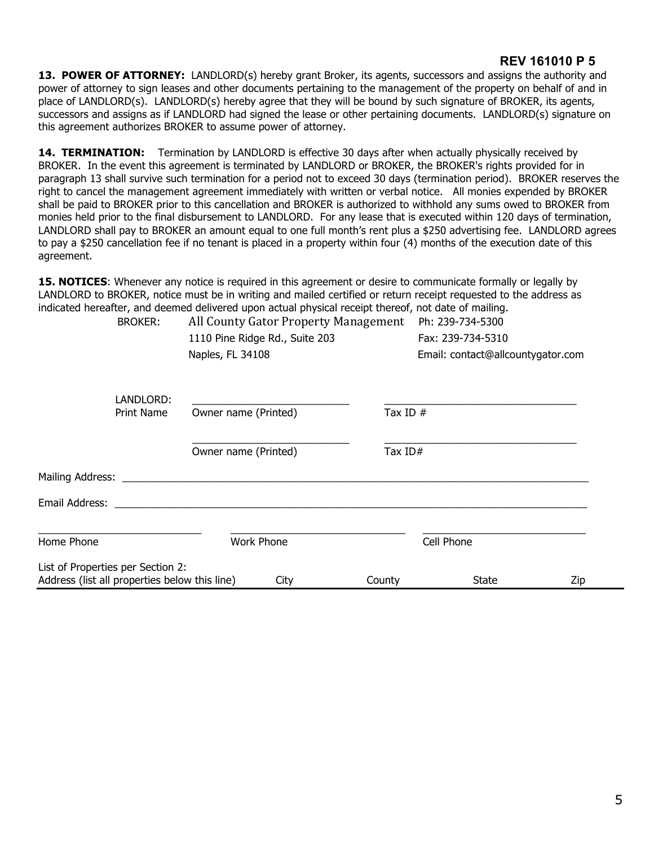### **REV 161010 P 5**

**13. POWER OF ATTORNEY:** LANDLORD(s) hereby grant Broker, its agents, successors and assigns the authority and power of attorney to sign leases and other documents pertaining to the management of the property on behalf of and in place of LANDLORD(s). LANDLORD(s) hereby agree that they will be bound by such signature of BROKER, its agents, successors and assigns as if LANDLORD had signed the lease or other pertaining documents. LANDLORD(s) signature on this agreement authorizes BROKER to assume power of attorney.

**14. TERMINATION:** Termination by LANDLORD is effective 30 days after when actually physically received by BROKER. In the event this agreement is terminated by LANDLORD or BROKER, the BROKER's rights provided for in paragraph 13 shall survive such termination for a period not to exceed 30 days (termination period). BROKER reserves the right to cancel the management agreement immediately with written or verbal notice. All monies expended by BROKER shall be paid to BROKER prior to this cancellation and BROKER is authorized to withhold any sums owed to BROKER from monies held prior to the final disbursement to LANDLORD. For any lease that is executed within 120 days of termination, LANDLORD shall pay to BROKER an amount equal to one full month's rent plus a \$250 advertising fee. LANDLORD agrees to pay a \$250 cancellation fee if no tenant is placed in a property within four (4) months of the execution date of this agreement.

**15. NOTICES**: Whenever any notice is required in this agreement or desire to communicate formally or legally by LANDLORD to BROKER, notice must be in writing and mailed certified or return receipt requested to the address as indicated hereafter, and deemed delivered upon actual physical receipt thereof, not date of mailing.

| <b>BROKER:</b>                                                                     | All County Gator Property Management |            | Ph: 239-734-5300                  |     |  |
|------------------------------------------------------------------------------------|--------------------------------------|------------|-----------------------------------|-----|--|
|                                                                                    | 1110 Pine Ridge Rd., Suite 203       |            | Fax: 239-734-5310                 |     |  |
|                                                                                    | Naples, FL 34108                     |            | Email: contact@allcountygator.com |     |  |
| LANDLORD:                                                                          |                                      |            |                                   |     |  |
| <b>Print Name</b>                                                                  | Owner name (Printed)                 | Tax ID $#$ |                                   |     |  |
|                                                                                    | Owner name (Printed)                 | Tax $ID#$  |                                   |     |  |
|                                                                                    |                                      |            |                                   |     |  |
| Email Address: ___________                                                         |                                      |            |                                   |     |  |
|                                                                                    |                                      |            |                                   |     |  |
| Home Phone                                                                         | Work Phone                           |            | Cell Phone                        |     |  |
| List of Properties per Section 2:<br>Address (list all properties below this line) | City                                 | County     | <b>State</b>                      | Zip |  |